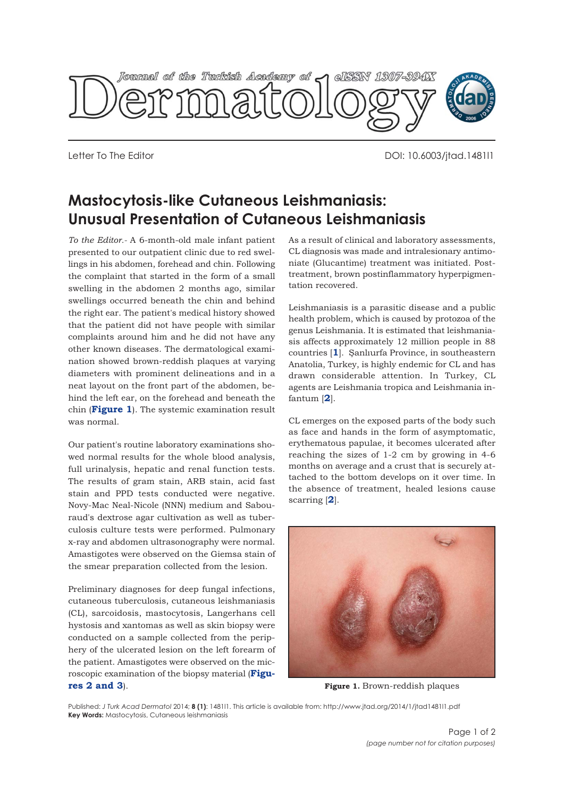

Letter To The Editor DOI: 10.6003/jtad.1481l1

## **Mastocytosis-like Cutaneous Leishmaniasis: Unusual Presentation of Cutaneous Leishmaniasis**

*To the Editor.-* A 6-month-old male infant patient presented to our outpatient clinic due to red swellings in his abdomen, forehead and chin. Following the complaint that started in the form of a small swelling in the abdomen 2 months ago, similar swellings occurred beneath the chin and behind the right ear. The patient's medical history showed that the patient did not have people with similar complaints around him and he did not have any other known diseases. The dermatological examination showed brown-reddish plaques at varying diameters with prominent delineations and in a neat layout on the front part of the abdomen, behind the left ear, on the forehead and beneath the chin (**Figure 1**). The systemic examination result was normal.

Our patient's routine laboratory examinations showed normal results for the whole blood analysis, full urinalysis, hepatic and renal function tests. The results of gram stain, ARB stain, acid fast stain and PPD tests conducted were negative. Novy-Mac Neal-Nicole (NNN) medium and Sabouraud's dextrose agar cultivation as well as tuberculosis culture tests were performed. Pulmonary x-ray and abdomen ultrasonography were normal. Amastigotes were observed on the Giemsa stain of the smear preparation collected from the lesion.

Preliminary diagnoses for deep fungal infections, cutaneous tuberculosis, cutaneous leishmaniasis (CL), sarcoidosis, mastocytosis, Langerhans cell hystosis and xantomas as well as skin biopsy were conducted on a sample collected from the periphery of the ulcerated lesion on the left forearm of the patient. Amastigotes were observed on the microscopic examination of the biopsy material (**Figures 2 and 3**).

As a result of clinical and laboratory assessments, CL diagnosis was made and intralesionary antimoniate (Glucantime) treatment was initiated. Posttreatment, brown postinflammatory hyperpigmentation recovered.

Leishmaniasis is a parasitic disease and a public health problem, which is caused by protozoa of the genus Leishmania. It is estimated that leishmaniasis affects approximately 12 million people in 88 countries [**1**]. Şanlıurfa Province, in southeastern Anatolia, Turkey, is highly endemic for CL and has drawn considerable attention. In Turkey, CL agents are Leishmania tropica and Leishmania infantum [**2**].

CL emerges on the exposed parts of the body such as face and hands in the form of asymptomatic, erythematous papulae, it becomes ulcerated after reaching the sizes of 1-2 cm by growing in 4-6 months on average and a crust that is securely attached to the bottom develops on it over time. In the absence of treatment, healed lesions cause scarring [**2**].



**Figure 1.** Brown-reddish plaques

Published: *J Turk Acad Dermatol* 2014; **8 (1)**: 1481l1. This article is available from: http://www.jtad.org/2014/1/jtad1481l1.pdf **Key Words:** Mastocytosis, Cutaneous leishmaniasis